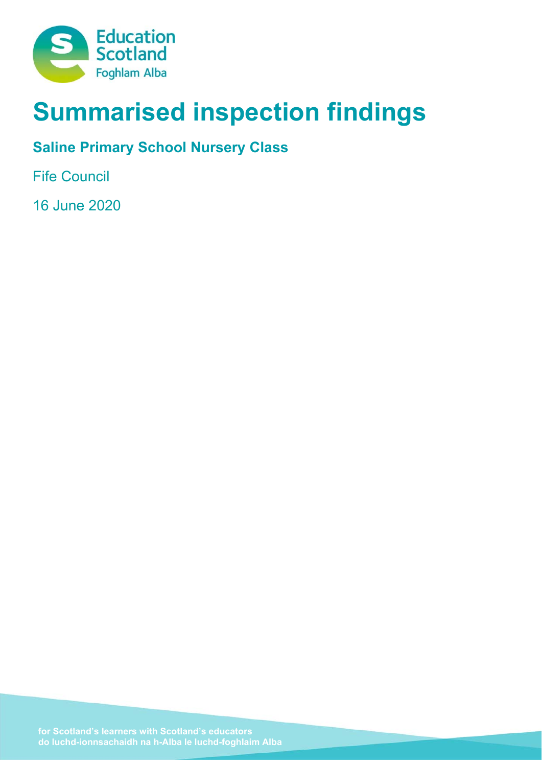

# **Summarised inspection findings**

# **Saline Primary School Nursery Class**

Fife Council

16 June 2020

**do luchd-ionnsachaidh na h-Alba le luchd-foghlaim Alba**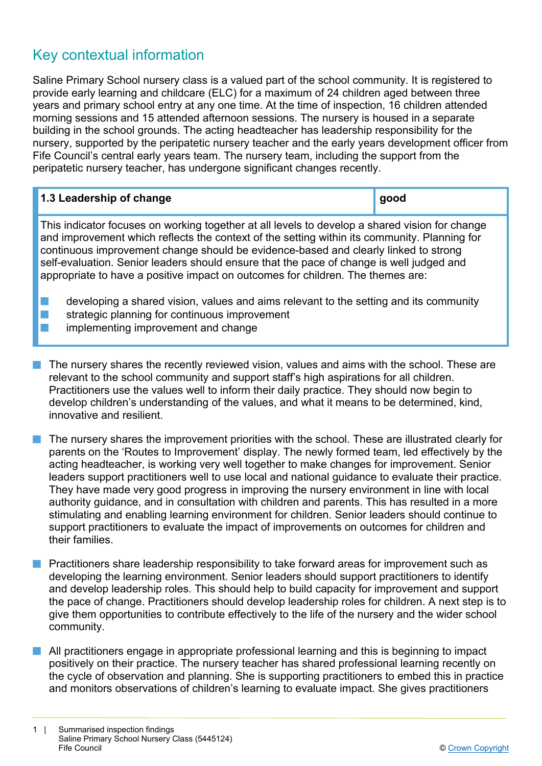# Key contextual information

Saline Primary School nursery class is a valued part of the school community. It is registered to provide early learning and childcare (ELC) for a maximum of 24 children aged between three years and primary school entry at any one time. At the time of inspection, 16 children attended morning sessions and 15 attended afternoon sessions. The nursery is housed in a separate building in the school grounds. The acting headteacher has leadership responsibility for the nursery, supported by the peripatetic nursery teacher and the early years development officer from Fife Council's central early years team. The nursery team, including the support from the peripatetic nursery teacher, has undergone significant changes recently.

| 1.3 Leadership of change                                                                                                                                                                                                                                                                                                                                                                                                                                             | good |
|----------------------------------------------------------------------------------------------------------------------------------------------------------------------------------------------------------------------------------------------------------------------------------------------------------------------------------------------------------------------------------------------------------------------------------------------------------------------|------|
| This indicator focuses on working together at all levels to develop a shared vision for change<br>and improvement which reflects the context of the setting within its community. Planning for<br>continuous improvement change should be evidence-based and clearly linked to strong<br>self-evaluation. Senior leaders should ensure that the pace of change is well judged and<br>appropriate to have a positive impact on outcomes for children. The themes are: |      |
| developing a shared vision, values and aims relevant to the setting and its community                                                                                                                                                                                                                                                                                                                                                                                |      |

- strategic planning for continuous improvement
- implementing improvement and change
- The nursery shares the recently reviewed vision, values and aims with the school. These are relevant to the school community and support staff's high aspirations for all children. Practitioners use the values well to inform their daily practice. They should now begin to develop children's understanding of the values, and what it means to be determined, kind, innovative and resilient.
- n The nursery shares the improvement priorities with the school. These are illustrated clearly for parents on the 'Routes to Improvement' display. The newly formed team, led effectively by the acting headteacher, is working very well together to make changes for improvement. Senior leaders support practitioners well to use local and national guidance to evaluate their practice. They have made very good progress in improving the nursery environment in line with local authority guidance, and in consultation with children and parents. This has resulted in a more stimulating and enabling learning environment for children. Senior leaders should continue to support practitioners to evaluate the impact of improvements on outcomes for children and their families.
- n Practitioners share leadership responsibility to take forward areas for improvement such as developing the learning environment. Senior leaders should support practitioners to identify and develop leadership roles. This should help to build capacity for improvement and support the pace of change. Practitioners should develop leadership roles for children. A next step is to give them opportunities to contribute effectively to the life of the nursery and the wider school community.
- $\blacksquare$  All practitioners engage in appropriate professional learning and this is beginning to impact positively on their practice. The nursery teacher has shared professional learning recently on the cycle of observation and planning. She is supporting practitioners to embed this in practice and monitors observations of children's learning to evaluate impact. She gives practitioners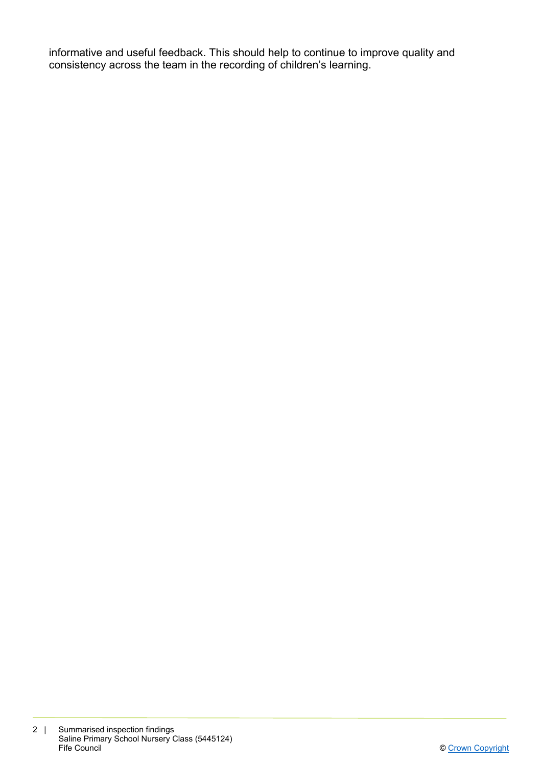informative and useful feedback. This should help to continue to improve quality and consistency across the team in the recording of children's learning.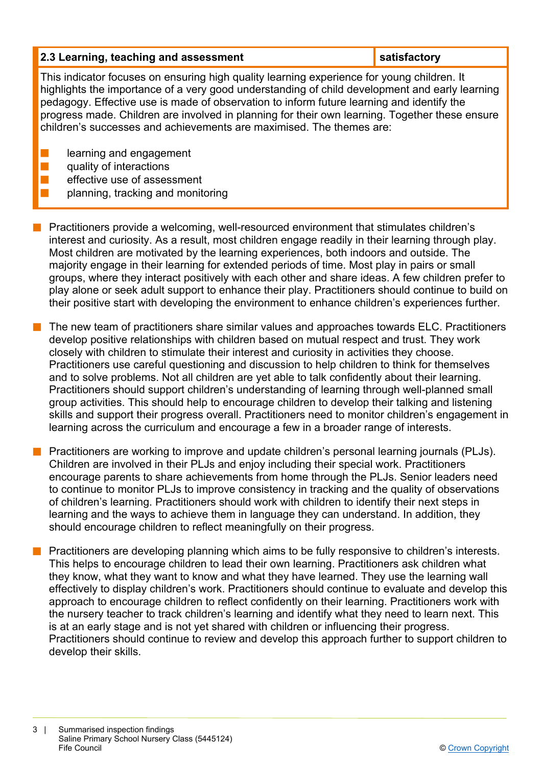#### **2.3 Learning, teaching and assessment in the satisfactory in the satisfactory**

This indicator focuses on ensuring high quality learning experience for young children. It highlights the importance of a very good understanding of child development and early learning pedagogy. Effective use is made of observation to inform future learning and identify the progress made. Children are involved in planning for their own learning. Together these ensure children's successes and achievements are maximised. The themes are:

- learning and engagement
- quality of interactions
- effective use of assessment
	- planning, tracking and monitoring

**n** Practitioners provide a welcoming, well-resourced environment that stimulates children's interest and curiosity. As a result, most children engage readily in their learning through play. Most children are motivated by the learning experiences, both indoors and outside. The majority engage in their learning for extended periods of time. Most play in pairs or small groups, where they interact positively with each other and share ideas. A few children prefer to play alone or seek adult support to enhance their play. Practitioners should continue to build on their positive start with developing the environment to enhance children's experiences further.

The new team of practitioners share similar values and approaches towards ELC. Practitioners develop positive relationships with children based on mutual respect and trust. They work closely with children to stimulate their interest and curiosity in activities they choose. Practitioners use careful questioning and discussion to help children to think for themselves and to solve problems. Not all children are yet able to talk confidently about their learning. Practitioners should support children's understanding of learning through well-planned small group activities. This should help to encourage children to develop their talking and listening skills and support their progress overall. Practitioners need to monitor children's engagement in learning across the curriculum and encourage a few in a broader range of interests.

n Practitioners are working to improve and update children's personal learning journals (PLJs). Children are involved in their PLJs and enjoy including their special work. Practitioners encourage parents to share achievements from home through the PLJs. Senior leaders need to continue to monitor PLJs to improve consistency in tracking and the quality of observations of children's learning. Practitioners should work with children to identify their next steps in learning and the ways to achieve them in language they can understand. In addition, they should encourage children to reflect meaningfully on their progress.

n Practitioners are developing planning which aims to be fully responsive to children's interests. This helps to encourage children to lead their own learning. Practitioners ask children what they know, what they want to know and what they have learned. They use the learning wall effectively to display children's work. Practitioners should continue to evaluate and develop this approach to encourage children to reflect confidently on their learning. Practitioners work with the nursery teacher to track children's learning and identify what they need to learn next. This is at an early stage and is not yet shared with children or influencing their progress. Practitioners should continue to review and develop this approach further to support children to develop their skills.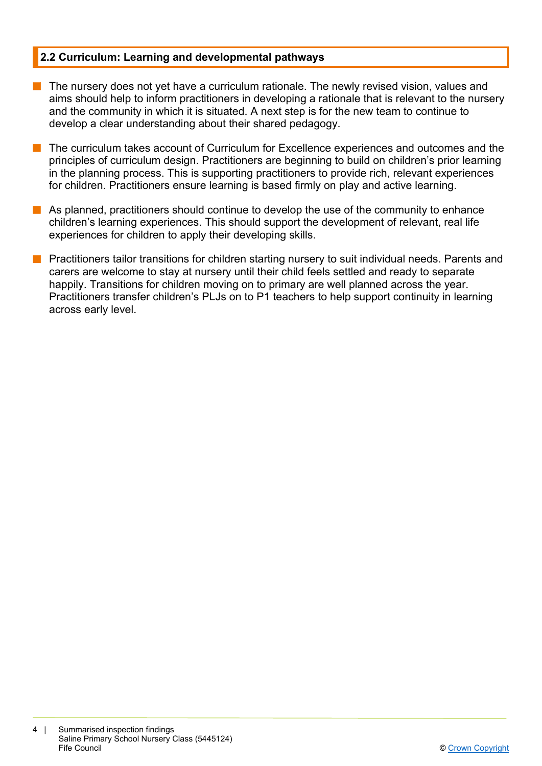#### **2.2 Curriculum: Learning and developmental pathways**

- $\blacksquare$  The nursery does not yet have a curriculum rationale. The newly revised vision, values and aims should help to inform practitioners in developing a rationale that is relevant to the nursery and the community in which it is situated. A next step is for the new team to continue to develop a clear understanding about their shared pedagogy.
- n The curriculum takes account of Curriculum for Excellence experiences and outcomes and the principles of curriculum design. Practitioners are beginning to build on children's prior learning in the planning process. This is supporting practitioners to provide rich, relevant experiences for children. Practitioners ensure learning is based firmly on play and active learning.
- $\blacksquare$  As planned, practitioners should continue to develop the use of the community to enhance children's learning experiences. This should support the development of relevant, real life experiences for children to apply their developing skills.
- **n** Practitioners tailor transitions for children starting nursery to suit individual needs. Parents and carers are welcome to stay at nursery until their child feels settled and ready to separate happily. Transitions for children moving on to primary are well planned across the year. Practitioners transfer children's PLJs on to P1 teachers to help support continuity in learning across early level.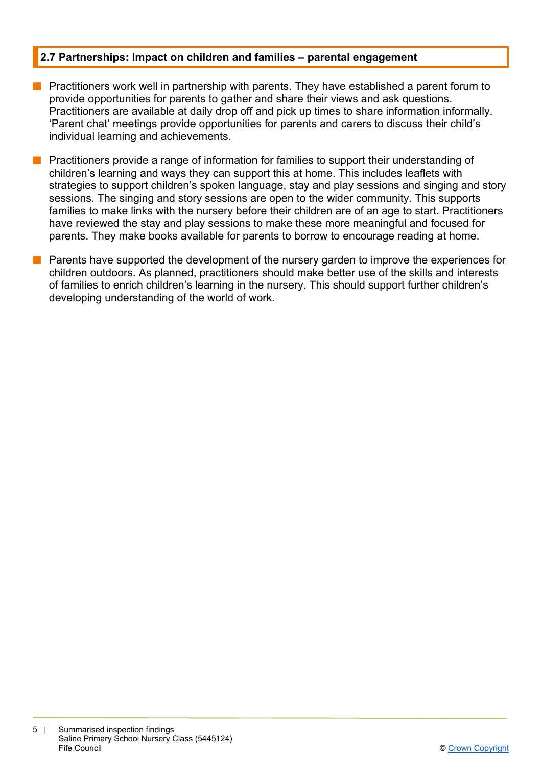### **2.7 Partnerships: Impact on children and families – parental engagement**

- **n** Practitioners work well in partnership with parents. They have established a parent forum to provide opportunities for parents to gather and share their views and ask questions. Practitioners are available at daily drop off and pick up times to share information informally. 'Parent chat' meetings provide opportunities for parents and carers to discuss their child's individual learning and achievements.
- **n** Practitioners provide a range of information for families to support their understanding of children's learning and ways they can support this at home. This includes leaflets with strategies to support children's spoken language, stay and play sessions and singing and story sessions. The singing and story sessions are open to the wider community. This supports families to make links with the nursery before their children are of an age to start. Practitioners have reviewed the stay and play sessions to make these more meaningful and focused for parents. They make books available for parents to borrow to encourage reading at home.
- $\blacksquare$  Parents have supported the development of the nursery garden to improve the experiences for children outdoors. As planned, practitioners should make better use of the skills and interests of families to enrich children's learning in the nursery. This should support further children's developing understanding of the world of work.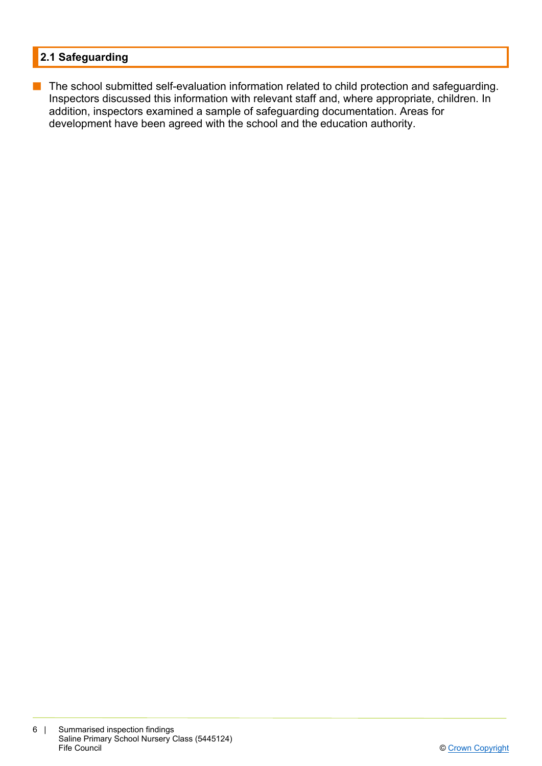# **2.1 Safeguarding**

**n** The school submitted self-evaluation information related to child protection and safeguarding. Inspectors discussed this information with relevant staff and, where appropriate, children. In addition, inspectors examined a sample of safeguarding documentation. Areas for development have been agreed with the school and the education authority.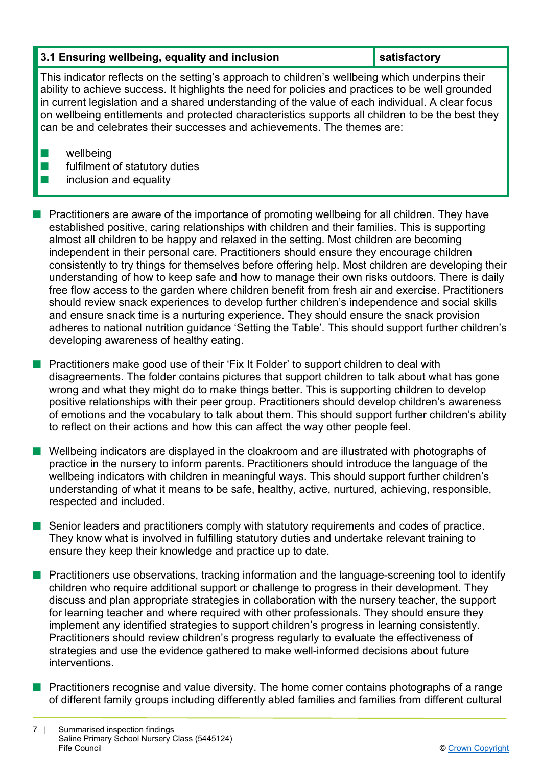## **3.1 Ensuring wellbeing, equality and inclusion satime in the satisfactory**

This indicator reflects on the setting's approach to children's wellbeing which underpins their ability to achieve success. It highlights the need for policies and practices to be well grounded in current legislation and a shared understanding of the value of each individual. A clear focus on wellbeing entitlements and protected characteristics supports all children to be the best they can be and celebrates their successes and achievements. The themes are:

 $\blacksquare$  wellbeing

 $\blacksquare$  fulfilment of statutory duties

## $\blacksquare$  inclusion and equality

- n Practitioners are aware of the importance of promoting wellbeing for all children. They have established positive, caring relationships with children and their families. This is supporting almost all children to be happy and relaxed in the setting. Most children are becoming independent in their personal care. Practitioners should ensure they encourage children consistently to try things for themselves before offering help. Most children are developing their understanding of how to keep safe and how to manage their own risks outdoors. There is daily free flow access to the garden where children benefit from fresh air and exercise. Practitioners should review snack experiences to develop further children's independence and social skills and ensure snack time is a nurturing experience. They should ensure the snack provision adheres to national nutrition guidance 'Setting the Table'. This should support further children's developing awareness of healthy eating.
- **n** Practitioners make good use of their 'Fix It Folder' to support children to deal with disagreements. The folder contains pictures that support children to talk about what has gone wrong and what they might do to make things better. This is supporting children to develop positive relationships with their peer group. Practitioners should develop children's awareness of emotions and the vocabulary to talk about them. This should support further children's ability to reflect on their actions and how this can affect the way other people feel.
- n Wellbeing indicators are displayed in the cloakroom and are illustrated with photographs of practice in the nursery to inform parents. Practitioners should introduce the language of the wellbeing indicators with children in meaningful ways. This should support further children's understanding of what it means to be safe, healthy, active, nurtured, achieving, responsible, respected and included.
- **n** Senior leaders and practitioners comply with statutory requirements and codes of practice. They know what is involved in fulfilling statutory duties and undertake relevant training to ensure they keep their knowledge and practice up to date.
- **n** Practitioners use observations, tracking information and the language-screening tool to identify children who require additional support or challenge to progress in their development. They discuss and plan appropriate strategies in collaboration with the nursery teacher, the support for learning teacher and where required with other professionals. They should ensure they implement any identified strategies to support children's progress in learning consistently. Practitioners should review children's progress regularly to evaluate the effectiveness of strategies and use the evidence gathered to make well-informed decisions about future interventions.
- Practitioners recognise and value diversity. The home corner contains photographs of a range of different family groups including differently abled families and families from different cultural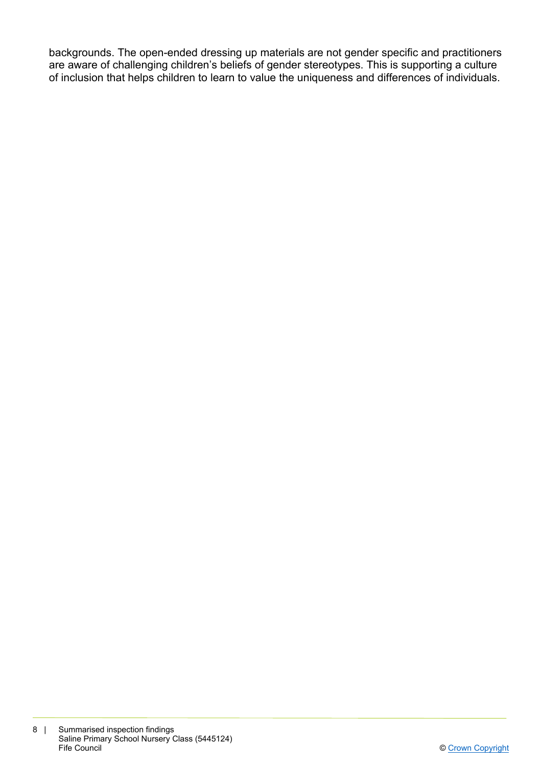backgrounds. The open-ended dressing up materials are not gender specific and practitioners are aware of challenging children's beliefs of gender stereotypes. This is supporting a culture of inclusion that helps children to learn to value the uniqueness and differences of individuals.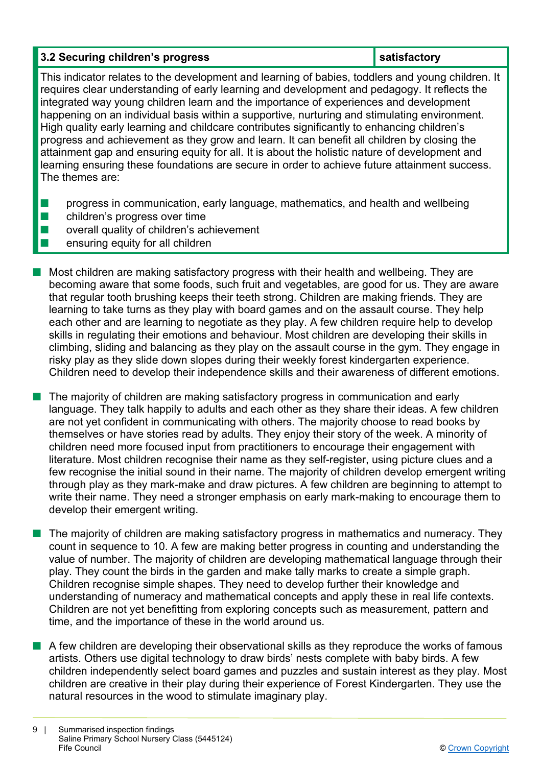## **3.2 Securing children's progress in the satisfactory in the satisfactory**

This indicator relates to the development and learning of babies, toddlers and young children. It requires clear understanding of early learning and development and pedagogy. It reflects the integrated way young children learn and the importance of experiences and development happening on an individual basis within a supportive, nurturing and stimulating environment. High quality early learning and childcare contributes significantly to enhancing children's progress and achievement as they grow and learn. It can benefit all children by closing the attainment gap and ensuring equity for all. It is about the holistic nature of development and learning ensuring these foundations are secure in order to achieve future attainment success. The themes are:

- **n** progress in communication, early language, mathematics, and health and wellbeing
- $\blacksquare$  children's progress over time
- $\blacksquare$  overall quality of children's achievement
- n ensuring equity for all children
- $\blacksquare$  Most children are making satisfactory progress with their health and wellbeing. They are becoming aware that some foods, such fruit and vegetables, are good for us. They are aware that regular tooth brushing keeps their teeth strong. Children are making friends. They are learning to take turns as they play with board games and on the assault course. They help each other and are learning to negotiate as they play. A few children require help to develop skills in regulating their emotions and behaviour. Most children are developing their skills in climbing, sliding and balancing as they play on the assault course in the gym. They engage in risky play as they slide down slopes during their weekly forest kindergarten experience. Children need to develop their independence skills and their awareness of different emotions.
- $\blacksquare$  The majority of children are making satisfactory progress in communication and early language. They talk happily to adults and each other as they share their ideas. A few children are not yet confident in communicating with others. The majority choose to read books by themselves or have stories read by adults. They enjoy their story of the week. A minority of children need more focused input from practitioners to encourage their engagement with literature. Most children recognise their name as they self-register, using picture clues and a few recognise the initial sound in their name. The majority of children develop emergent writing through play as they mark-make and draw pictures. A few children are beginning to attempt to write their name. They need a stronger emphasis on early mark-making to encourage them to develop their emergent writing.
- **n** The majority of children are making satisfactory progress in mathematics and numeracy. They count in sequence to 10. A few are making better progress in counting and understanding the value of number. The majority of children are developing mathematical language through their play. They count the birds in the garden and make tally marks to create a simple graph. Children recognise simple shapes. They need to develop further their knowledge and understanding of numeracy and mathematical concepts and apply these in real life contexts. Children are not yet benefitting from exploring concepts such as measurement, pattern and time, and the importance of these in the world around us.
- $\blacksquare$  A few children are developing their observational skills as they reproduce the works of famous artists. Others use digital technology to draw birds' nests complete with baby birds. A few children independently select board games and puzzles and sustain interest as they play. Most children are creative in their play during their experience of Forest Kindergarten. They use the natural resources in the wood to stimulate imaginary play.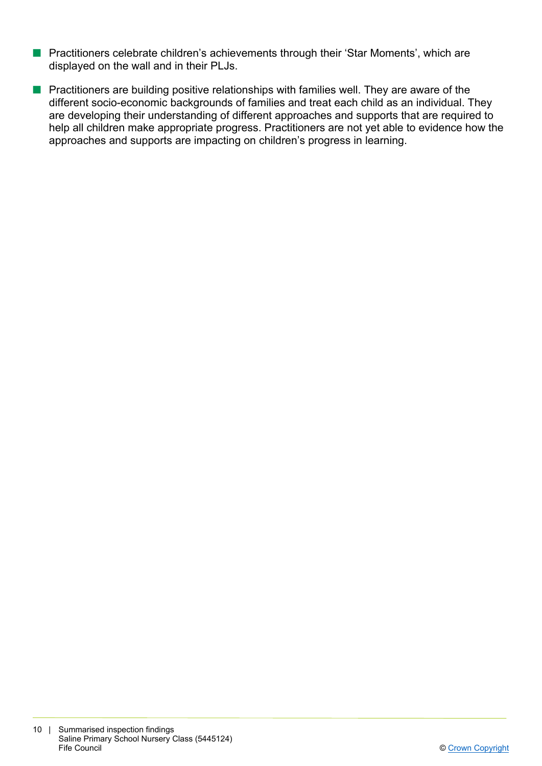- **n** Practitioners celebrate children's achievements through their 'Star Moments', which are displayed on the wall and in their PLJs.
- **n** Practitioners are building positive relationships with families well. They are aware of the different socio-economic backgrounds of families and treat each child as an individual. They are developing their understanding of different approaches and supports that are required to help all children make appropriate progress. Practitioners are not yet able to evidence how the approaches and supports are impacting on children's progress in learning.